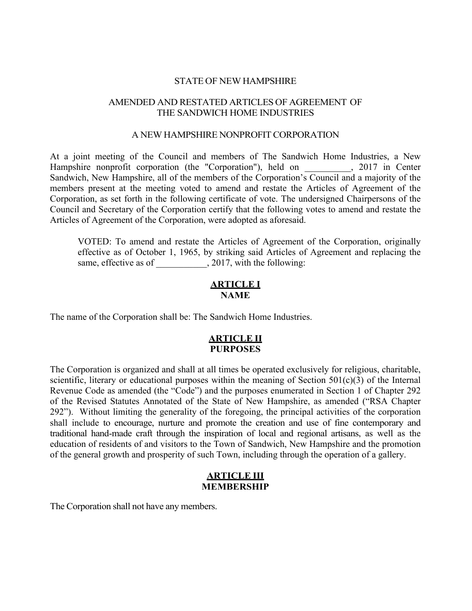### STATE OF NEW HAMPSHIRE

### AMENDED AND RESTATED ARTICLES OF AGREEMENT OF THE SANDWICH HOME INDUSTRIES

#### A NEW HAMPSHIRE NONPROFITCORPORATION

At a joint meeting of the Council and members of The Sandwich Home Industries, a New Hampshire nonprofit corporation (the "Corporation"), held on 2017 in Center Hampshire nonprofit corporation (the "Corporation"), held on Sandwich, New Hampshire, all of the members of the Corporation's Council and a majority of the members present at the meeting voted to amend and restate the Articles of Agreement of the Corporation, as set forth in the following certificate of vote. The undersigned Chairpersons of the Council and Secretary of the Corporation certify that the following votes to amend and restate the Articles of Agreement of the Corporation, were adopted as aforesaid.

VOTED: To amend and restate the Articles of Agreement of the Corporation, originally effective as of October 1, 1965, by striking said Articles of Agreement and replacing the same, effective as of \_\_\_\_\_\_\_\_\_\_, 2017, with the following:

### **ARTICLE I NAME**

The name of the Corporation shall be: The Sandwich Home Industries.

## **ARTICLE II PURPOSES**

The Corporation is organized and shall at all times be operated exclusively for religious, charitable, scientific, literary or educational purposes within the meaning of Section  $501(c)(3)$  of the Internal Revenue Code as amended (the "Code") and the purposes enumerated in Section 1 of Chapter 292 of the Revised Statutes Annotated of the State of New Hampshire, as amended ("RSA Chapter 292"). Without limiting the generality of the foregoing, the principal activities of the corporation shall include to encourage, nurture and promote the creation and use of fine contemporary and traditional hand-made craft through the inspiration of local and regional artisans, as well as the education of residents of and visitors to the Town of Sandwich, New Hampshire and the promotion of the general growth and prosperity of such Town, including through the operation of a gallery.

### **ARTICLE III MEMBERSHIP**

The Corporation shall not have any members.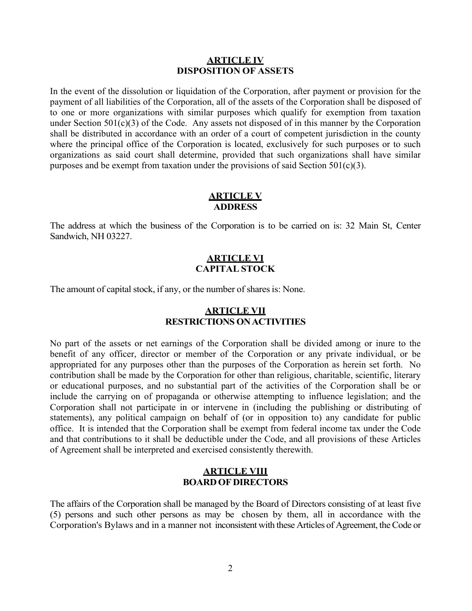### **ARTICLE IV DISPOSITION OF ASSETS**

In the event of the dissolution or liquidation of the Corporation, after payment or provision for the payment of all liabilities of the Corporation, all of the assets of the Corporation shall be disposed of to one or more organizations with similar purposes which qualify for exemption from taxation under Section 501(c)(3) of the Code. Any assets not disposed of in this manner by the Corporation shall be distributed in accordance with an order of a court of competent jurisdiction in the county where the principal office of the Corporation is located, exclusively for such purposes or to such organizations as said court shall determine, provided that such organizations shall have similar purposes and be exempt from taxation under the provisions of said Section 501(c)(3).

## **ARTICLE V ADDRESS**

The address at which the business of the Corporation is to be carried on is: 32 Main St, Center Sandwich, NH 03227.

# **ARTICLE VI CAPITAL STOCK**

The amount of capital stock, if any, or the number of shares is: None.

## **ARTICLE VII RESTRICTIONS ONACTIVITIES**

No part of the assets or net earnings of the Corporation shall be divided among or inure to the benefit of any officer, director or member of the Corporation or any private individual, or be appropriated for any purposes other than the purposes of the Corporation as herein set forth. No contribution shall be made by the Corporation for other than religious, charitable, scientific, literary or educational purposes, and no substantial part of the activities of the Corporation shall be or include the carrying on of propaganda or otherwise attempting to influence legislation; and the Corporation shall not participate in or intervene in (including the publishing or distributing of statements), any political campaign on behalf of (or in opposition to) any candidate for public office. It is intended that the Corporation shall be exempt from federal income tax under the Code and that contributions to it shall be deductible under the Code, and all provisions of these Articles of Agreement shall be interpreted and exercised consistently therewith.

## **ARTICLE VIII BOARDOF DIRECTORS**

The affairs of the Corporation shall be managed by the Board of Directors consisting of at least five (5) persons and such other persons as may be chosen by them, all in accordance with the Corporation's Bylaws and in a manner not inconsistent with these Articles of Agreement, theCode or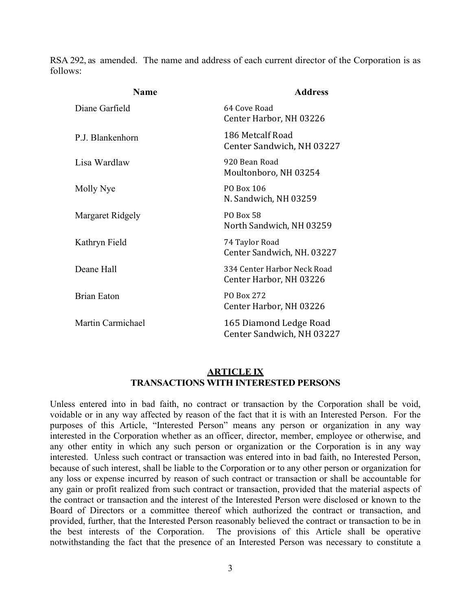RSA 292, as amended. The name and address of each current director of the Corporation is as follows:

| <b>Name</b>        | <b>Address</b>                                         |
|--------------------|--------------------------------------------------------|
| Diane Garfield     | 64 Cove Road<br>Center Harbor, NH 03226                |
| P.J. Blankenhorn   | 186 Metcalf Road<br>Center Sandwich, NH 03227          |
| Lisa Wardlaw       | 920 Bean Road<br>Moultonboro, NH 03254                 |
| Molly Nye          | PO Box 106<br>N. Sandwich, NH 03259                    |
| Margaret Ridgely   | <b>PO Box 58</b><br>North Sandwich, NH 03259           |
| Kathryn Field      | 74 Taylor Road<br>Center Sandwich, NH. 03227           |
| Deane Hall         | 334 Center Harbor Neck Road<br>Center Harbor, NH 03226 |
| <b>Brian Eaton</b> | PO Box 272<br>Center Harbor, NH 03226                  |
| Martin Carmichael  | 165 Diamond Ledge Road<br>Center Sandwich, NH 03227    |

## **ARTICLE IX TRANSACTIONS WITH INTERESTED PERSONS**

Unless entered into in bad faith, no contract or transaction by the Corporation shall be void, voidable or in any way affected by reason of the fact that it is with an Interested Person. For the purposes of this Article, "Interested Person" means any person or organization in any way interested in the Corporation whether as an officer, director, member, employee or otherwise, and any other entity in which any such person or organization or the Corporation is in any way interested. Unless such contract or transaction was entered into in bad faith, no Interested Person, because of such interest, shall be liable to the Corporation or to any other person or organization for any loss or expense incurred by reason of such contract or transaction or shall be accountable for any gain or profit realized from such contract or transaction, provided that the material aspects of the contract or transaction and the interest of the Interested Person were disclosed or known to the Board of Directors or a committee thereof which authorized the contract or transaction, and provided, further, that the Interested Person reasonably believed the contract or transaction to be in the best interests of the Corporation. The provisions of this Article shall be operative notwithstanding the fact that the presence of an Interested Person was necessary to constitute a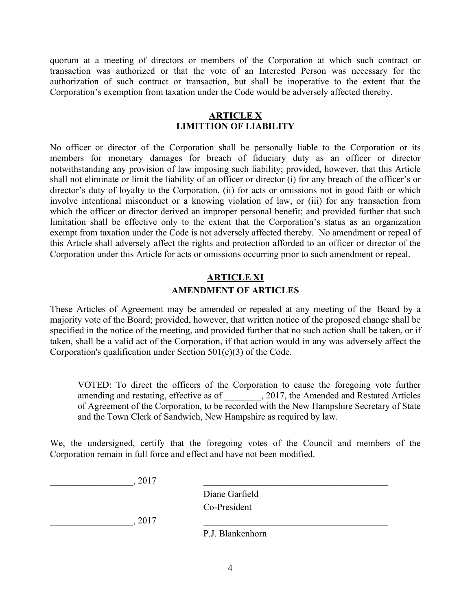quorum at a meeting of directors or members of the Corporation at which such contract or transaction was authorized or that the vote of an Interested Person was necessary for the authorization of such contract or transaction, but shall be inoperative to the extent that the Corporation's exemption from taxation under the Code would be adversely affected thereby.

## **ARTICLE X LIMITTION OF LIABILITY**

No officer or director of the Corporation shall be personally liable to the Corporation or its members for monetary damages for breach of fiduciary duty as an officer or director notwithstanding any provision of law imposing such liability; provided, however, that this Article shall not eliminate or limit the liability of an officer or director (i) for any breach of the officer's or director's duty of loyalty to the Corporation, (ii) for acts or omissions not in good faith or which involve intentional misconduct or a knowing violation of law, or (iii) for any transaction from which the officer or director derived an improper personal benefit; and provided further that such limitation shall be effective only to the extent that the Corporation's status as an organization exempt from taxation under the Code is not adversely affected thereby. No amendment or repeal of this Article shall adversely affect the rights and protection afforded to an officer or director of the Corporation under this Article for acts or omissions occurring prior to such amendment or repeal.

# **ARTICLE XI AMENDMENT OF ARTICLES**

These Articles of Agreement may be amended or repealed at any meeting of the Board by a majority vote of the Board; provided, however, that written notice of the proposed change shall be specified in the notice of the meeting, and provided further that no such action shall be taken, or if taken, shall be a valid act of the Corporation, if that action would in any was adversely affect the Corporation's qualification under Section 501(c)(3) of the Code.

VOTED: To direct the officers of the Corporation to cause the foregoing vote further amending and restating, effective as of  $\qquad \qquad , 2017$ , the Amended and Restated Articles of Agreement of the Corporation, to be recorded with the New Hampshire Secretary of State and the Town Clerk of Sandwich, New Hampshire as required by law.

We, the undersigned, certify that the foregoing votes of the Council and members of the Corporation remain in full force and effect and have not been modified.

 $2017$ 

Diane Garfield Co-President

 $, 2017$ 

P.J. Blankenhorn